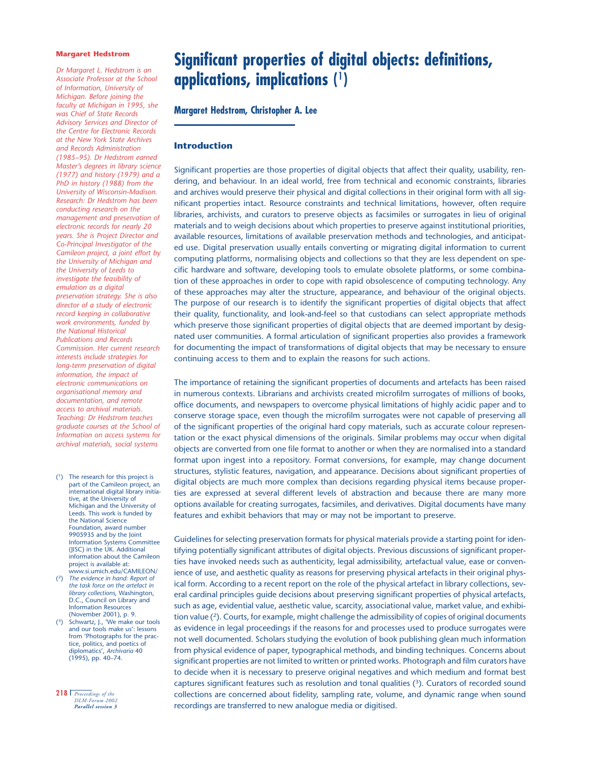#### **Margaret Hedstrom**

*Dr Margaret L. Hedstrom is an Associate Professor at the School of Information, University of Michigan. Before joining the faculty at Michigan in 1995, she was Chief of State Records Advisory Services and Director of the Centre for Electronic Records at the New York State Archives and Records Administration (1985–95). Dr Hedstrom earned Master's degrees in library science (1977) and history (1979) and a PhD in history (1988) from the University of Wisconsin-Madison. Research: Dr Hedstrom has been conducting research on the management and preservation of electronic records for nearly 20 years. She is Project Director and Co-Principal Investigator of the Camileon project, a joint effort by the University of Michigan and the University of Leeds to investigate the feasibility of emulation as a digital preservation strategy. She is also director of a study of electronic record keeping in collaborative work environments, funded by the National Historical Publications and Records Commission. Her current research interests include strategies for long-term preservation of digital information, the impact of electronic communications on organisational memory and documentation, and remote access to archival materials. Teaching: Dr Hedstrom teaches graduate courses at the School of Information on access systems for archival materials, social systems*

- (1) The research for this project is part of the Camileon project, an international digital library initiative, at the University of Michigan and the University of Leeds. This work is funded by the National Science Foundation, award number 9905935 and by the Joint Information Systems Committee (JISC) in the UK. Additional information about the Camileon project is available at: www.si.umich.edu/CAMILEON/
- (2) *The evidence in hand: Report of the task force on the artefact in library collections*, Washington, D.C., Council on Library and Information Resources (November 2001), p. 9.
- (3) Schwartz, J., 'We make our tools and our tools make us': lessons from 'Photographs for the practice, politics, and poetics of diplomatics', *Archivaria* 40 (1995), pp. 40–74.
- **218 |** *Proceedings of the DLM-Forum 2002 Parallel session 3*

# **Significant properties of digital objects: definitions, applications, implications** ( 1 )

### **Margaret Hedstrom, Christopher A. Lee**

#### **Introduction**

Significant properties are those properties of digital objects that affect their quality, usability, rendering, and behaviour. In an ideal world, free from technical and economic constraints, libraries and archives would preserve their physical and digital collections in their original form with all significant properties intact. Resource constraints and technical limitations, however, often require libraries, archivists, and curators to preserve objects as facsimiles or surrogates in lieu of original materials and to weigh decisions about which properties to preserve against institutional priorities, available resources, limitations of available preservation methods and technologies, and anticipated use. Digital preservation usually entails converting or migrating digital information to current computing platforms, normalising objects and collections so that they are less dependent on specific hardware and software, developing tools to emulate obsolete platforms, or some combination of these approaches in order to cope with rapid obsolescence of computing technology. Any of these approaches may alter the structure, appearance, and behaviour of the original objects. The purpose of our research is to identify the significant properties of digital objects that affect their quality, functionality, and look-and-feel so that custodians can select appropriate methods which preserve those significant properties of digital objects that are deemed important by designated user communities. A formal articulation of significant properties also provides a framework for documenting the impact of transformations of digital objects that may be necessary to ensure continuing access to them and to explain the reasons for such actions.

The importance of retaining the significant properties of documents and artefacts has been raised in numerous contexts. Librarians and archivists created microfilm surrogates of millions of books, office documents, and newspapers to overcome physical limitations of highly acidic paper and to conserve storage space, even though the microfilm surrogates were not capable of preserving all of the significant properties of the original hard copy materials, such as accurate colour representation or the exact physical dimensions of the originals. Similar problems may occur when digital objects are converted from one file format to another or when they are normalised into a standard format upon ingest into a repository. Format conversions, for example, may change document structures, stylistic features, navigation, and appearance. Decisions about significant properties of digital objects are much more complex than decisions regarding physical items because properties are expressed at several different levels of abstraction and because there are many more options available for creating surrogates, facsimiles, and derivatives. Digital documents have many features and exhibit behaviors that may or may not be important to preserve.

Guidelines for selecting preservation formats for physical materials provide a starting point for identifying potentially significant attributes of digital objects. Previous discussions of significant properties have invoked needs such as authenticity, legal admissibility, artefactual value, ease or convenience of use, and aesthetic quality as reasons for preserving physical artefacts in their original physical form. According to a recent report on the role of the physical artefact in library collections, several cardinal principles guide decisions about preserving significant properties of physical artefacts, such as age, evidential value, aesthetic value, scarcity, associational value, market value, and exhibition value (2). Courts, for example, might challenge the admissibility of copies of original documents as evidence in legal proceedings if the reasons for and processes used to produce surrogates were not well documented. Scholars studying the evolution of book publishing glean much information from physical evidence of paper, typographical methods, and binding techniques. Concerns about significant properties are not limited to written or printed works. Photograph and film curators have to decide when it is necessary to preserve original negatives and which medium and format best captures significant features such as resolution and tonal qualities  $(3)$ . Curators of recorded sound collections are concerned about fidelity, sampling rate, volume, and dynamic range when sound recordings are transferred to new analogue media or digitised.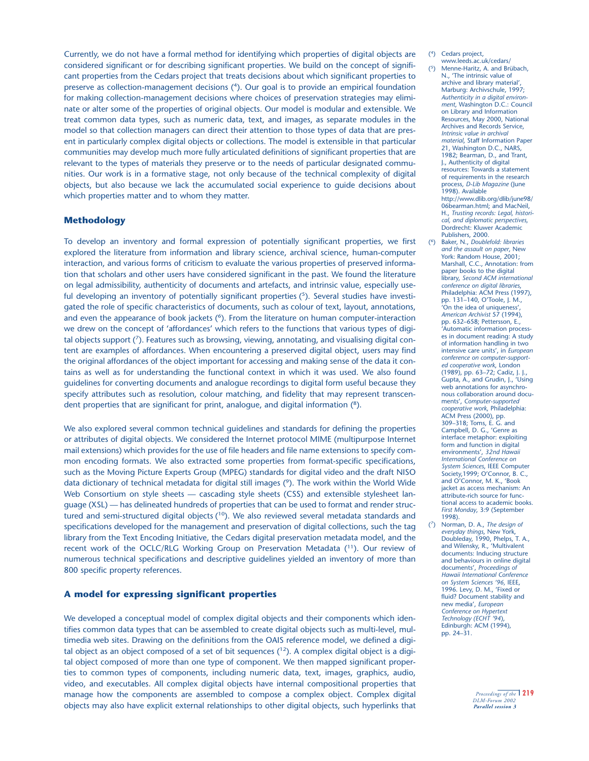Currently, we do not have a formal method for identifying which properties of digital objects are considered significant or for describing significant properties. We build on the concept of significant properties from the Cedars project that treats decisions about which significant properties to preserve as collection-management decisions (4). Our goal is to provide an empirical foundation for making collection-management decisions where choices of preservation strategies may eliminate or alter some of the properties of original objects. Our model is modular and extensible. We treat common data types, such as numeric data, text, and images, as separate modules in the model so that collection managers can direct their attention to those types of data that are present in particularly complex digital objects or collections. The model is extensible in that particular communities may develop much more fully articulated definitions of significant properties that are relevant to the types of materials they preserve or to the needs of particular designated communities. Our work is in a formative stage, not only because of the technical complexity of digital objects, but also because we lack the accumulated social experience to guide decisions about which properties matter and to whom they matter.

#### **Methodology**

To develop an inventory and formal expression of potentially significant properties, we first explored the literature from information and library science, archival science, human-computer interaction, and various forms of criticism to evaluate the various properties of preserved information that scholars and other users have considered significant in the past. We found the literature on legal admissibility, authenticity of documents and artefacts, and intrinsic value, especially useful developing an inventory of potentially significant properties  $(5)$ . Several studies have investigated the role of specific characteristics of documents, such as colour of text, layout, annotations, and even the appearance of book jackets (<sup>6</sup>). From the literature on human computer-interaction we drew on the concept of 'affordances' which refers to the functions that various types of digital objects support (7). Features such as browsing, viewing, annotating, and visualising digital content are examples of affordances. When encountering a preserved digital object, users may find the original affordances of the object important for accessing and making sense of the data it contains as well as for understanding the functional context in which it was used. We also found guidelines for converting documents and analogue recordings to digital form useful because they specify attributes such as resolution, colour matching, and fidelity that may represent transcendent properties that are significant for print, analogue, and digital information (8).

We also explored several common technical guidelines and standards for defining the properties or attributes of digital objects. We considered the Internet protocol MIME (multipurpose Internet mail extensions) which provides for the use of file headers and file name extensions to specify common encoding formats. We also extracted some properties from format-specific specifications, such as the Moving Picture Experts Group (MPEG) standards for digital video and the draft NISO data dictionary of technical metadata for digital still images (9). The work within the World Wide Web Consortium on style sheets — cascading style sheets (CSS) and extensible stylesheet language (XSL) — has delineated hundreds of properties that can be used to format and render structured and semi-structured digital objects  $(10)$ . We also reviewed several metadata standards and specifications developed for the management and preservation of digital collections, such the tag library from the Text Encoding Initiative, the Cedars digital preservation metadata model, and the recent work of the OCLC/RLG Working Group on Preservation Metadata (11). Our review of numerous technical specifications and descriptive guidelines yielded an inventory of more than 800 specific property references.

#### **A model for expressing significant properties**

We developed a conceptual model of complex digital objects and their components which identifies common data types that can be assembled to create digital objects such as multi-level, multimedia web sites. Drawing on the definitions from the OAIS reference model, we defined a digital object as an object composed of a set of bit sequences  $(1^2)$ . A complex digital object is a digital object composed of more than one type of component. We then mapped significant properties to common types of components, including numeric data, text, images, graphics, audio, video, and executables. All complex digital objects have internal compositional properties that manage how the components are assembled to compose a complex object. Complex digital objects may also have explicit external relationships to other digital objects, such hyperlinks that

- (4) Cedars project, www.leeds.ac.uk/cedars/
	- Menne-Haritz, A. and Brübach, N., 'The intrinsic value of archive and library material', Marburg: Archivschule, 1997; *Authenticity in a digital environment*, Washington D.C.: Council on Library and Information Resources, May 2000, National Archives and Records Service, *Intrinsic value in archival material*, Staff Information Paper 21, Washington D.C., NARS, 1982; Bearman, D., and Trant, J., Authenticity of digital resources: Towards a statement of requirements in the research process*, D-Lib Magazine* (June 1998). Available http://www.dlib.org/dlib/june98/ 06bearman.html; and MacNeil, H., *Trusting records: Legal, historical, and diplomatic perspectives,* Dordrecht: Kluwer Academic Publishers, 2000.
- (6) Baker, N., *Doublefold: libraries and the assault on paper*, New York: Random House, 2001; Marshall, C.C., Annotation: from paper books to the digital library, *Second ACM international conference on digital libraries*, Philadelphia: ACM Press (1997) pp. 131–140, O'Toole, J. M., 'On the idea of uniqueness', *American Archivist* 57 (1994), pp. 632–658; Pettersson, E., 'Automatic information processes in document reading: A study of information handling in two intensive care units', in *European conference on computer-supported cooperative work*, London (1989), pp. 63–72; Cadiz, J. J., Gupta, A., and Grudin, J., 'Using web annotations for asynchronous collaboration around documents', *Computer-supported cooperative work*, Philadelphia: ACM Press (2000), pp. 309–318; Toms, E. G. and Campbell, D. G., 'Genre as interface metaphor: exploiting form and function in digital environments', *32nd Hawaii International Conference on System Sciences*, IEEE Computer Society, 1999; O'Connor, B. C., and O'Connor, M. K., 'Book jacket as access mechanism: An attribute-rich source for functional access to academic books. *First Monday*, 3:9 (September 1998).
- (7) Norman, D. A., *The design of everyday things*, New York, Doubleday, 1990, Phelps, T. A., and Wilensky, R., 'Multivalent documents: Inducing structure and behaviours in online digital documents', *Proceedings of Hawaii International Conference on System Sciences '96,* IEEE, 1996. Levy, D. M., 'Fixed or fluid? Document stability and new media', *European Conference on Hypertext Technology (ECHT '94*), Edinburgh: ACM (1994), pp. 24–31.

*Proceedings of the* **| 219** *DLM-Forum 2002 Parallel session 3*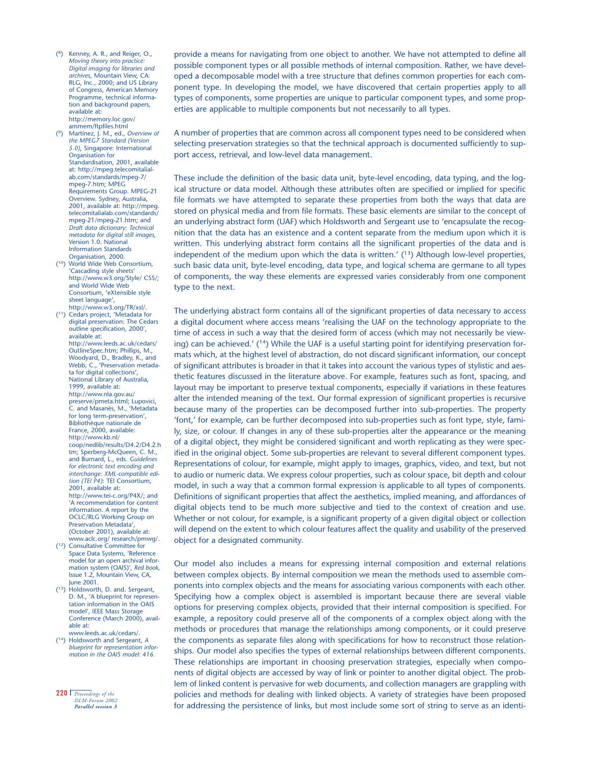- (8) Kenney, A. R., and Reiger, O., *Moving theory into practice: Digital imaging for libraries and archives*, Mountain View, CA: RLG, Inc., 2000; and US Library of Congress, American Memory Programme, technical information and background papers, available at: http://memory.loc.gov/ ammem/ftpfiles.html
- (9) Martínez, J. M., ed., *Overview of the MPEG7 Standard (Version 5.0)*, Singapore: International Organisation for Standardisation, 2001, available at: http://mpeg.telecomitalialab.com/standards/mpeg-7/ mpeg-7.htm; MPEG Requirements Group. MPEG-21 Overview. Sydney, Australia, 2001, available at: http://mpeg. telecomitalialab.com/standards/ mpeg-21/mpeg-21.htm; and *Draft data dictionary: Technical metadata for digital still images,* Version 1.0. National Information Standards Organisation, 2000.
- (10) World Wide Web Consortium, 'Cascading style sheets' http://www.w3.org/Style/ CSS/; and World Wide Web Consortium, 'eXtensible style sheet language'. http://www.w3.org/TR/xsl/.
- (11) Cedars project, 'Metadata for digital preservation: The Cedars outline specification, 2000', available at: http://www.leeds.ac.uk/cedars/ OutlineSpec.htm; Phillips, M., Woodyard, D., Bradley, K., and Webb, C., 'Preservation metadata for digital collections', National Library of Australia, 1999, available at: http://www.nla.gov.au/ preserve/pmeta.html; Lupovici, C. and Masanès, M., 'Metadata for long term-preservation', Bibliothèque nationale de France, 2000, available: http://www.kb.nl/ coop/nedlib/results/D4.2/D4.2.h tm; Sperberg-McQueen, C. M., and Burnard, L., eds. *Guidelines for electronic text encoding and interchange: XML-compatible edition (TEI P4)*: TEI Consortium, 2001, available at: http://www.tei-c.org/P4X/; and 'A recommendation for content information. A report by the OCLC/RLG Working Group on Preservation Metadata', (October 2001), available at: www.aclc.org/ research/pmwg/.
- (12) Consultative Committee for Space Data Systems, 'Reference model for an open archival information system (OAIS)', *Red book*, Issue 1.2, Mountain View, CA, June 2001.
- (13) Holdsworth, D. and. Sergeant, D. M., 'A blueprint for representation information in the OAIS model', IEEE Mass Storage Conference (March 2000), available at:
- www.leeds.ac.uk/cedars/. (14) Holdsworth and Sergeant, *A blueprint for representation information in the OAIS model: 416.*
- **220 |** *Proceedings of the DLM-Forum 2002 Parallel session 3*

provide a means for navigating from one object to another. We have not attempted to define all possible component types or all possible methods of internal composition. Rather, we have developed a decomposable model with a tree structure that defines common properties for each component type. In developing the model, we have discovered that certain properties apply to all types of components, some properties are unique to particular component types, and some properties are applicable to multiple components but not necessarily to all types.

A number of properties that are common across all component types need to be considered when selecting preservation strategies so that the technical approach is documented sufficiently to support access, retrieval, and low-level data management.

These include the definition of the basic data unit, byte-level encoding, data typing, and the logical structure or data model. Although these attributes often are specified or implied for specific file formats we have attempted to separate these properties from both the ways that data are stored on physical media and from file formats. These basic elements are similar to the concept of an underlying abstract form (UAF) which Holdsworth and Sergeant use to 'encapsulate the recognition that the data has an existence and a content separate from the medium upon which it is written. This underlying abstract form contains all the significant properties of the data and is independent of the medium upon which the data is written.'  $(^{13})$  Although low-level properties, such basic data unit, byte-level encoding, data type, and logical schema are germane to all types of components, the way these elements are expressed varies considerably from one component type to the next.

The underlying abstract form contains all of the significant properties of data necessary to access a digital document where access means 'realising the UAF on the technology appropriate to the time of access in such a way that the desired form of access (which may not necessarily be viewing) can be achieved.' (<sup>14</sup>) While the UAF is a useful starting point for identifying preservation formats which, at the highest level of abstraction, do not discard significant information, our concept of significant attributes is broader in that it takes into account the various types of stylistic and aesthetic features discussed in the literature above. For example, features such as font, spacing, and layout may be important to preserve textual components, especially if variations in these features alter the intended meaning of the text. Our formal expression of significant properties is recursive because many of the properties can be decomposed further into sub-properties. The property 'font,' for example, can be further decomposed into sub-properties such as font type, style, family, size, or colour. If changes in any of these sub-properties alter the appearance or the meaning of a digital object, they might be considered significant and worth replicating as they were specified in the original object. Some sub-properties are relevant to several different component types. Representations of colour, for example, might apply to images, graphics, video, and text, but not to audio or numeric data. We express colour properties, such as colour space, bit depth and colour model, in such a way that a common formal expression is applicable to all types of components. Definitions of significant properties that affect the aesthetics, implied meaning, and affordances of digital objects tend to be much more subjective and tied to the context of creation and use. Whether or not colour, for example, is a significant property of a given digital object or collection will depend on the extent to which colour features affect the quality and usability of the preserved object for a designated community.

Our model also includes a means for expressing internal composition and external relations between complex objects. By internal composition we mean the methods used to assemble components into complex objects and the means for associating various components with each other. Specifying how a complex object is assembled is important because there are several viable options for preserving complex objects, provided that their internal composition is specified. For example, a repository could preserve all of the components of a complex object along with the methods or procedures that manage the relationships among components, or it could preserve the components as separate files along with specifications for how to reconstruct those relationships. Our model also specifies the types of external relationships between different components. These relationships are important in choosing preservation strategies, especially when components of digital objects are accessed by way of link or pointer to another digital object. The problem of linked content is pervasive for web documents, and collection managers are grappling with policies and methods for dealing with linked objects. A variety of strategies have been proposed for addressing the persistence of links, but most include some sort of string to serve as an identi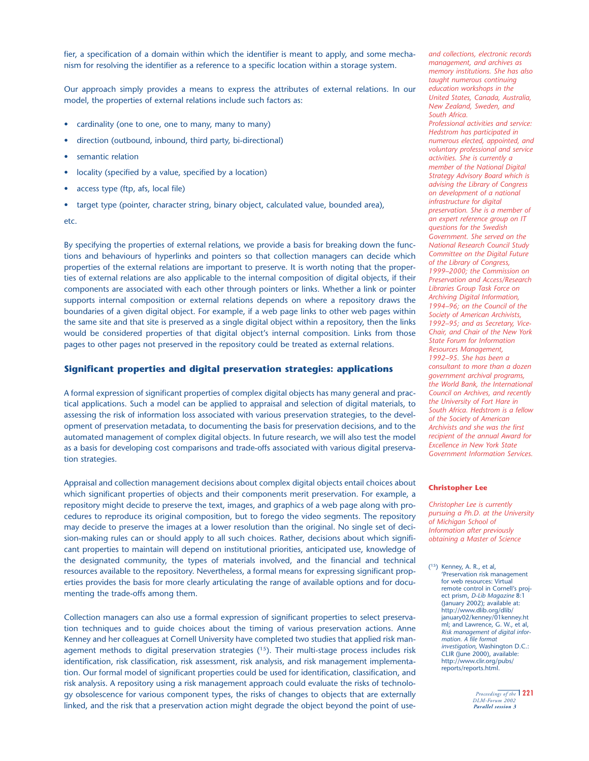fier, a specification of a domain within which the identifier is meant to apply, and some mechanism for resolving the identifier as a reference to a specific location within a storage system.

Our approach simply provides a means to express the attributes of external relations. In our model, the properties of external relations include such factors as:

- cardinality (one to one, one to many, many to many)
- direction (outbound, inbound, third party, bi-directional)
- semantic relation
- locality (specified by a value, specified by a location)
- access type (ftp, afs, local file)
- target type (pointer, character string, binary object, calculated value, bounded area),

etc.

By specifying the properties of external relations, we provide a basis for breaking down the functions and behaviours of hyperlinks and pointers so that collection managers can decide which properties of the external relations are important to preserve. It is worth noting that the properties of external relations are also applicable to the internal composition of digital objects, if their components are associated with each other through pointers or links. Whether a link or pointer supports internal composition or external relations depends on where a repository draws the boundaries of a given digital object. For example, if a web page links to other web pages within the same site and that site is preserved as a single digital object within a repository, then the links would be considered properties of that digital object's internal composition. Links from those pages to other pages not preserved in the repository could be treated as external relations.

#### **Significant properties and digital preservation strategies: applications**

A formal expression of significant properties of complex digital objects has many general and practical applications. Such a model can be applied to appraisal and selection of digital materials, to assessing the risk of information loss associated with various preservation strategies, to the development of preservation metadata, to documenting the basis for preservation decisions, and to the automated management of complex digital objects. In future research, we will also test the model as a basis for developing cost comparisons and trade-offs associated with various digital preservation strategies.

Appraisal and collection management decisions about complex digital objects entail choices about which significant properties of objects and their components merit preservation. For example, a repository might decide to preserve the text, images, and graphics of a web page along with procedures to reproduce its original composition, but to forego the video segments. The repository may decide to preserve the images at a lower resolution than the original. No single set of decision-making rules can or should apply to all such choices. Rather, decisions about which significant properties to maintain will depend on institutional priorities, anticipated use, knowledge of the designated community, the types of materials involved, and the financial and technical resources available to the repository. Nevertheless, a formal means for expressing significant properties provides the basis for more clearly articulating the range of available options and for documenting the trade-offs among them.

Collection managers can also use a formal expression of significant properties to select preservation techniques and to guide choices about the timing of various preservation actions. Anne Kenney and her colleagues at Cornell University have completed two studies that applied risk management methods to digital preservation strategies  $(^{15})$ . Their multi-stage process includes risk identification, risk classification, risk assessment, risk analysis, and risk management implementation. Our formal model of significant properties could be used for identification, classification, and risk analysis. A repository using a risk management approach could evaluate the risks of technology obsolescence for various component types, the risks of changes to objects that are externally linked, and the risk that a preservation action might degrade the object beyond the point of use*and collections, electronic records management, and archives as memory institutions. She has also taught numerous continuing education workshops in the United States, Canada, Australia, New Zealand, Sweden, and South Africa. Professional activities and service: Hedstrom has participated in numerous elected, appointed, and voluntary professional and service activities. She is currently a member of the National Digital Strategy Advisory Board which is advising the Library of Congress on development of a national infrastructure for digital preservation. She is a member of an expert reference group on IT questions for the Swedish Government. She served on the National Research Council Study Committee on the Digital Future of the Library of Congress, 1999–2000; the Commission on Preservation and Access/Research Libraries Group Task Force on Archiving Digital Information, 1994–96; on the Council of the Society of American Archivists, 1992–95; and as Secretary, Vice-Chair, and Chair of the New York State Forum for Information Resources Management, 1992–95. She has been a consultant to more than a dozen government archival programs, the World Bank, the International Council on Archives, and recently the University of Fort Hare in South Africa. Hedstrom is a fellow of the Society of American Archivists and she was the first recipient of the annual Award for Excellence in New York State Government Information Services.*

#### **Christopher Lee**

*Christopher Lee is currently pursuing a Ph.D. at the University of Michigan School of Information after previously obtaining a Master of Science*

(15) Kenney, A. R., et al, 'Preservation risk management for web resources: Virtual remote control in Cornell's project prism, *D-Lib Magazine* 8:1 (January 2002); available at: http://www.dlib.org/dlib/ january02/kenney/01kenney.ht ml; and Lawrence, G. W., et al, *Risk management of digital information. A file format investigation*, Washington D.C.: CLIR (June 2000), available: http://www.clir.org/pubs/ reports/reports.html.

> *Proceedings of the* **| 221** *DLM-Forum 2002 Parallel session 3*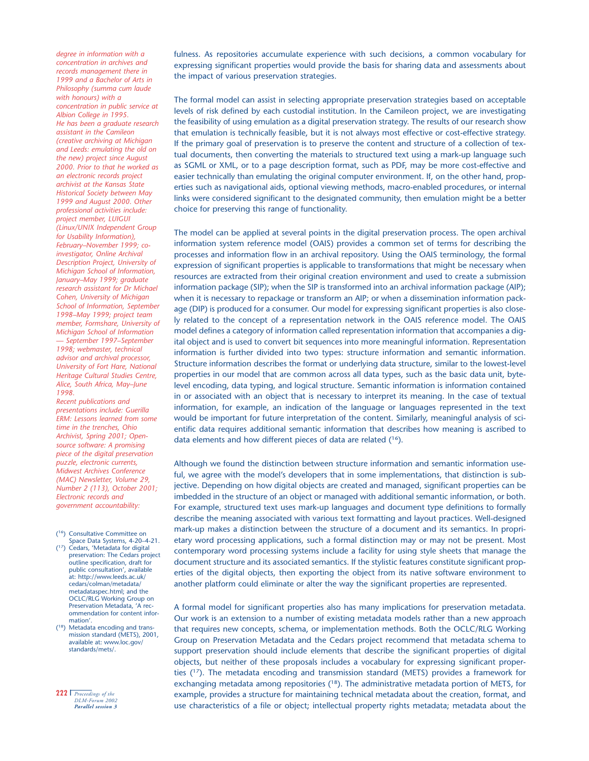*degree in information with a concentration in archives and records management there in 1999 and a Bachelor of Arts in Philosophy (summa cum laude with honours) with a concentration in public service at Albion College in 1995. He has been a graduate research assistant in the Camileon (creative archiving at Michigan and Leeds: emulating the old on the new) project since August 2000. Prior to that he worked as an electronic records project archivist at the Kansas State Historical Society between May 1999 and August 2000. Other professional activities include: project member, LUIGUI (Linux/UNIX Independent Group for Usability Information), February–November 1999; coinvestigator, Online Archival Description Project, University of Michigan School of Information, January–May 1999; graduate research assistant for Dr Michael Cohen, University of Michigan School of Information, September 1998–May 1999; project team member, Formshare, University of Michigan School of Information — September 1997–September 1998; webmaster, technical advisor and archival processor, University of Fort Hare, National Heritage Cultural Studies Centre, Alice, South Africa, May–June 1998.*

*Recent publications and presentations include: Guerilla ERM: Lessons learned from some time in the trenches, Ohio Archivist, Spring 2001; Opensource software: A promising piece of the digital preservation puzzle, electronic currents, Midwest Archives Conference (MAC) Newsletter, Volume 29, Number 2 (113), October 2001; Electronic records and government accountability:*

- (16) Consultative Committee on Space Data Systems, 4-20–4-21.
- (17) Cedars, 'Metadata for digital preservation: The Cedars project outline specification, draft for public consultation', available at: http://www.leeds.ac.uk/ cedars/colman/metadata/ metadataspec.html; and the OCLC/RLG Working Group on Preservation Metadata, 'A recommendation for content information'.
- (18) Metadata encoding and transmission standard (METS), 2001, available at: www.loc.gov/ standards/mets/.
- **222 |** *Proceedings of the DLM-Forum 2002 Parallel session 3*

fulness. As repositories accumulate experience with such decisions, a common vocabulary for expressing significant properties would provide the basis for sharing data and assessments about the impact of various preservation strategies.

The formal model can assist in selecting appropriate preservation strategies based on acceptable levels of risk defined by each custodial institution. In the Camileon project, we are investigating the feasibility of using emulation as a digital preservation strategy. The results of our research show that emulation is technically feasible, but it is not always most effective or cost-effective strategy. If the primary goal of preservation is to preserve the content and structure of a collection of textual documents, then converting the materials to structured text using a mark-up language such as SGML or XML, or to a page description format, such as PDF, may be more cost-effective and easier technically than emulating the original computer environment. If, on the other hand, properties such as navigational aids, optional viewing methods, macro-enabled procedures, or internal links were considered significant to the designated community, then emulation might be a better choice for preserving this range of functionality.

The model can be applied at several points in the digital preservation process. The open archival information system reference model (OAIS) provides a common set of terms for describing the processes and information flow in an archival repository. Using the OAIS terminology, the formal expression of significant properties is applicable to transformations that might be necessary when resources are extracted from their original creation environment and used to create a submission information package (SIP); when the SIP is transformed into an archival information package (AIP); when it is necessary to repackage or transform an AIP; or when a dissemination information package (DIP) is produced for a consumer. Our model for expressing significant properties is also closely related to the concept of a representation network in the OAIS reference model. The OAIS model defines a category of information called representation information that accompanies a digital object and is used to convert bit sequences into more meaningful information. Representation information is further divided into two types: structure information and semantic information. Structure information describes the format or underlying data structure, similar to the lowest-level properties in our model that are common across all data types, such as the basic data unit, bytelevel encoding, data typing, and logical structure. Semantic information is information contained in or associated with an object that is necessary to interpret its meaning. In the case of textual information, for example, an indication of the language or languages represented in the text would be important for future interpretation of the content. Similarly, meaningful analysis of scientific data requires additional semantic information that describes how meaning is ascribed to data elements and how different pieces of data are related  $(^{16})$ .

Although we found the distinction between structure information and semantic information useful, we agree with the model's developers that in some implementations, that distinction is subjective. Depending on how digital objects are created and managed, significant properties can be imbedded in the structure of an object or managed with additional semantic information, or both. For example, structured text uses mark-up languages and document type definitions to formally describe the meaning associated with various text formatting and layout practices. Well-designed mark-up makes a distinction between the structure of a document and its semantics. In proprietary word processing applications, such a formal distinction may or may not be present. Most contemporary word processing systems include a facility for using style sheets that manage the document structure and its associated semantics. If the stylistic features constitute significant properties of the digital objects, then exporting the object from its native software environment to another platform could eliminate or alter the way the significant properties are represented.

A formal model for significant properties also has many implications for preservation metadata. Our work is an extension to a number of existing metadata models rather than a new approach that requires new concepts, schema, or implementation methods. Both the OCLC/RLG Working Group on Preservation Metadata and the Cedars project recommend that metadata schema to support preservation should include elements that describe the significant properties of digital objects, but neither of these proposals includes a vocabulary for expressing significant properties  $(^{17})$ . The metadata encoding and transmission standard (METS) provides a framework for exchanging metadata among repositories ( $^{18}$ ). The administrative metadata portion of METS, for example, provides a structure for maintaining technical metadata about the creation, format, and use characteristics of a file or object; intellectual property rights metadata; metadata about the